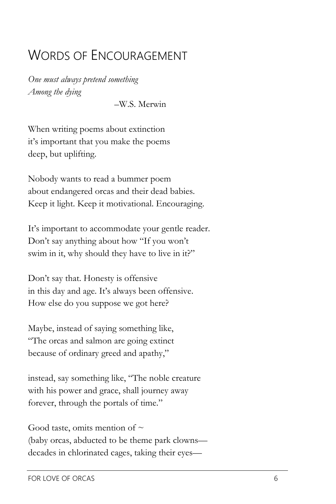## WORDS OF ENCOURAGEMENT

*One must always pretend something Among the dying*

–W.S. Merwin

When writing poems about extinction it's important that you make the poems deep, but uplifting.

Nobody wants to read a bummer poem about endangered orcas and their dead babies. Keep it light. Keep it motivational. Encouraging.

It's important to accommodate your gentle reader. Don't say anything about how "If you won't swim in it, why should they have to live in it?"

Don't say that. Honesty is offensive in this day and age. It's always been offensive. How else do you suppose we got here?

Maybe, instead of saying something like, "The orcas and salmon are going extinct because of ordinary greed and apathy,"

instead, say something like, "The noble creature with his power and grace, shall journey away forever, through the portals of time."

Good taste, omits mention of  $\sim$ (baby orcas, abducted to be theme park clowns decades in chlorinated cages, taking their eyes